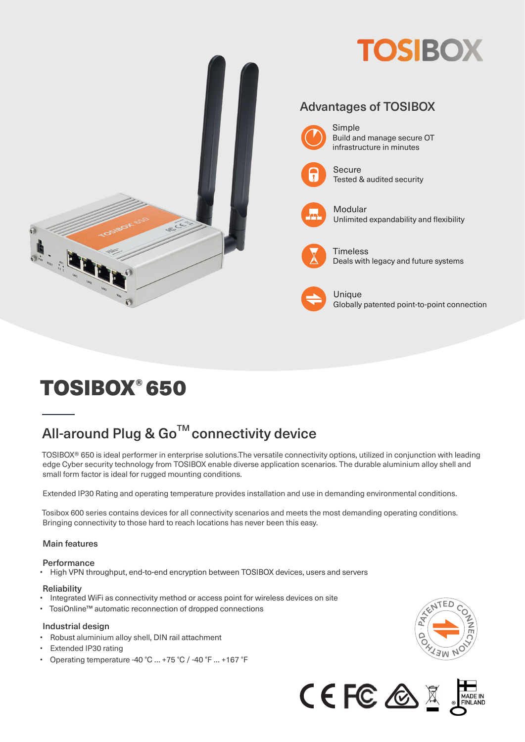

# TOSIBOX® 650

## All-around Plug & Go<sup>™</sup> connectivity device

TOSIBOX® 650 is ideal performer in enterprise solutions.The versatile connectivity options, utilized in conjunction with leading edge Cyber security technology from TOSIBOX enable diverse application scenarios. The durable aluminium alloy shell and small form factor is ideal for rugged mounting conditions.

Extended IP30 Rating and operating temperature provides installation and use in demanding environmental conditions.

Tosibox 600 series contains devices for all connectivity scenarios and meets the most demanding operating conditions. Bringing connectivity to those hard to reach locations has never been this easy.

### Main features

### Performance<br>• High VPN thr

• High VPN throughput, end-to-end encryption between TOSIBOX devices, users and servers

#### **Reliability**

- Integrated WiFi as connectivity method or access point for wireless devices on site
- TosiOnline™ automatic reconnection of dropped connections

#### Industrial design

- Robust aluminium alloy shell, DIN rail attachment
- Extended IP30 rating
- Operating temperature -40 °C … +75 °C / -40 °F … +167 °F